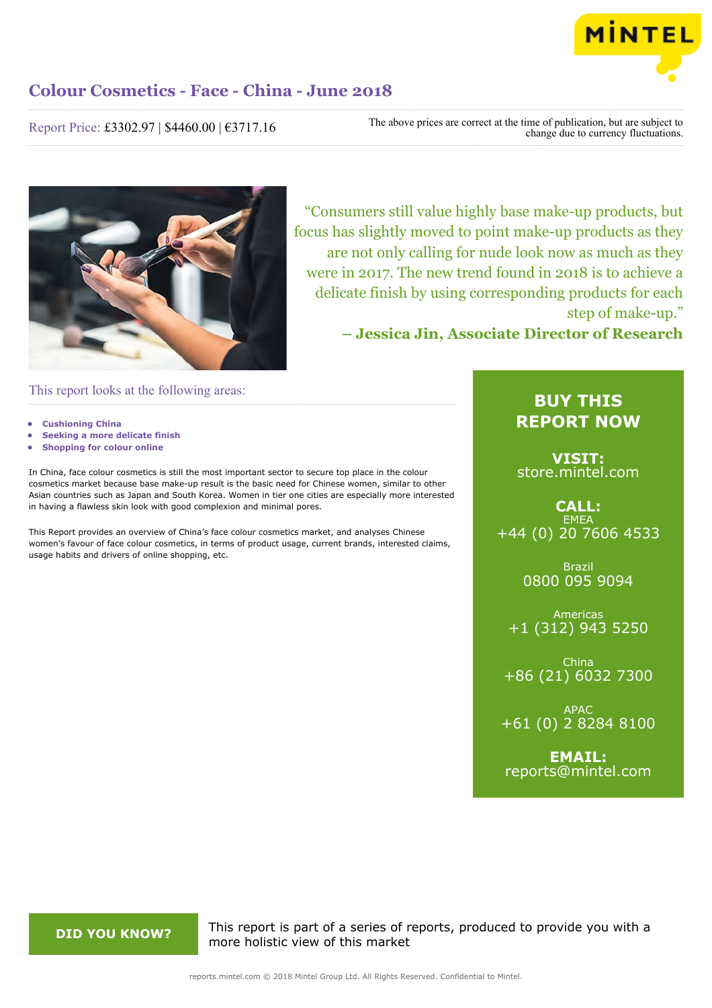

Report Price: £3302.97 | \$4460.00 | €3717.16

The above prices are correct at the time of publication, but are subject to change due to currency fluctuations.



"Consumers still value highly base make-up products, but focus has slightly moved to point make-up products as they are not only calling for nude look now as much as they were in 2017. The new trend found in 2018 is to achieve a delicate finish by using corresponding products for each step of make-up."

**– Jessica Jin, Associate Director of Research**

This report looks at the following areas:

- **• Cushioning China**
- **• Seeking a more delicate finish**
- **• Shopping for colour online**

In China, face colour cosmetics is still the most important sector to secure top place in the colour cosmetics market because base make-up result is the basic need for Chinese women, similar to other Asian countries such as Japan and South Korea. Women in tier one cities are especially more interested in having a flawless skin look with good complexion and minimal pores.

This Report provides an overview of China's face colour cosmetics market, and analyses Chinese women's favour of face colour cosmetics, in terms of product usage, current brands, interested claims, usage habits and drivers of online shopping, etc.

## **BUY THIS REPORT NOW**

**VISIT:** [store.mintel.com](http://reports.mintel.com//display/store/861195/)

## **CALL: EMEA** +44 (0) 20 7606 4533

Brazil 0800 095 9094

Americas +1 (312) 943 5250

China +86 (21) 6032 7300

APAC +61 (0) 2 8284 8100

**EMAIL:** [reports@mintel.com](mailto:reports@mintel.com)

**DID YOU KNOW?** This report is part of a series of reports, produced to provide you with a more holistic view of this market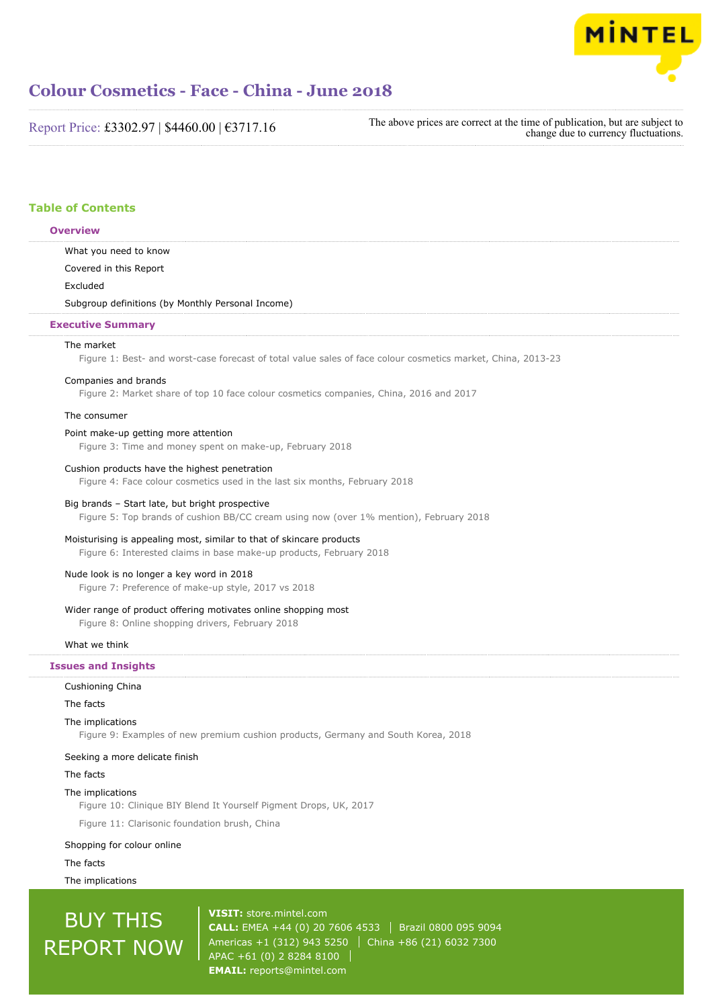

Report Price: £3302.97 | \$4460.00 | €3717.16

The above prices are correct at the time of publication, but are subject to change due to currency fluctuations.

## **Table of Contents**

**Overview**

## What you need to know Covered in this Report Excluded Subgroup definitions (by Monthly Personal Income) The market Figure 1: Best- and worst-case forecast of total value sales of face colour cosmetics market, China, 2013-23 Companies and brands Figure 2: Market share of top 10 face colour cosmetics companies, China, 2016 and 2017 The consumer Point make-up getting more attention Figure 3: Time and money spent on make-up, February 2018 Cushion products have the highest penetration Figure 4: Face colour cosmetics used in the last six months, February 2018 Big brands – Start late, but bright prospective Figure 5: Top brands of cushion BB/CC cream using now (over 1% mention), February 2018 Moisturising is appealing most, similar to that of skincare products Figure 6: Interested claims in base make-up products, February 2018 Nude look is no longer a key word in 2018 Figure 7: Preference of make-up style, 2017 vs 2018 Wider range of product offering motivates online shopping most Figure 8: Online shopping drivers, February 2018 What we think Cushioning China The facts The implications **Executive Summary Issues and Insights**

Figure 9: Examples of new premium cushion products, Germany and South Korea, 2018

#### Seeking a more delicate finish

#### The facts

#### The implications

Figure 10: Clinique BIY Blend It Yourself Pigment Drops, UK, 2017

Figure 11: Clarisonic foundation brush, China

#### Shopping for colour online

#### The facts

The implications

# BUY THIS REPORT NOW

**VISIT:** [store.mintel.com](http://reports.mintel.com//display/store/861195/) **CALL:** EMEA +44 (0) 20 7606 4533 | Brazil 0800 095 9094 Americas +1 (312) 943 5250 | China +86 (21) 6032 7300 APAC +61 (0) 2 8284 8100 **EMAIL:** [reports@mintel.com](mailto:reports@mintel.com)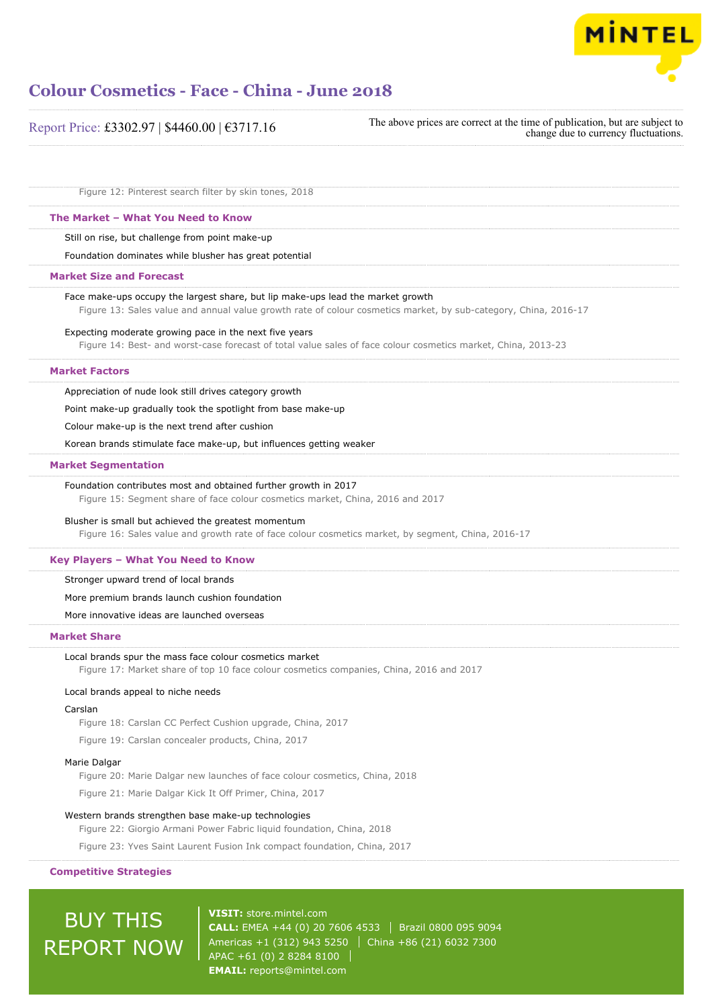

| Report Price: £3302.97   \$4460.00   €3717.16                                                                                                                                                      | The above prices are correct at the time of publication, but are subject to<br>change due to currency fluctuations. |
|----------------------------------------------------------------------------------------------------------------------------------------------------------------------------------------------------|---------------------------------------------------------------------------------------------------------------------|
| Figure 12: Pinterest search filter by skin tones, 2018                                                                                                                                             |                                                                                                                     |
| The Market - What You Need to Know                                                                                                                                                                 |                                                                                                                     |
| Still on rise, but challenge from point make-up                                                                                                                                                    |                                                                                                                     |
| Foundation dominates while blusher has great potential                                                                                                                                             |                                                                                                                     |
| <b>Market Size and Forecast</b>                                                                                                                                                                    |                                                                                                                     |
| Face make-ups occupy the largest share, but lip make-ups lead the market growth<br>Figure 13: Sales value and annual value growth rate of colour cosmetics market, by sub-category, China, 2016-17 |                                                                                                                     |
| Expecting moderate growing pace in the next five years<br>Figure 14: Best- and worst-case forecast of total value sales of face colour cosmetics market, China, 2013-23                            |                                                                                                                     |
| <b>Market Factors</b>                                                                                                                                                                              |                                                                                                                     |
| Appreciation of nude look still drives category growth                                                                                                                                             |                                                                                                                     |
| Point make-up gradually took the spotlight from base make-up                                                                                                                                       |                                                                                                                     |
| Colour make-up is the next trend after cushion                                                                                                                                                     |                                                                                                                     |
| Korean brands stimulate face make-up, but influences getting weaker                                                                                                                                |                                                                                                                     |
| <b>Market Segmentation</b>                                                                                                                                                                         |                                                                                                                     |
| Foundation contributes most and obtained further growth in 2017<br>Figure 15: Segment share of face colour cosmetics market, China, 2016 and 2017                                                  |                                                                                                                     |
| Blusher is small but achieved the greatest momentum                                                                                                                                                |                                                                                                                     |
| Figure 16: Sales value and growth rate of face colour cosmetics market, by segment, China, 2016-17                                                                                                 |                                                                                                                     |
| Key Players - What You Need to Know                                                                                                                                                                |                                                                                                                     |
| Stronger upward trend of local brands                                                                                                                                                              |                                                                                                                     |
| More premium brands launch cushion foundation                                                                                                                                                      |                                                                                                                     |
| More innovative ideas are launched overseas                                                                                                                                                        |                                                                                                                     |

#### **Market Share**

#### Local brands spur the mass face colour cosmetics market

Figure 17: Market share of top 10 face colour cosmetics companies, China, 2016 and 2017

#### Local brands appeal to niche needs

#### Carslan

Figure 18: Carslan CC Perfect Cushion upgrade, China, 2017

Figure 19: Carslan concealer products, China, 2017

#### Marie Dalgar

Figure 20: Marie Dalgar new launches of face colour cosmetics, China, 2018

Figure 21: Marie Dalgar Kick It Off Primer, China, 2017

#### Western brands strengthen base make-up technologies

Figure 22: Giorgio Armani Power Fabric liquid foundation, China, 2018

Figure 23: Yves Saint Laurent Fusion Ink compact foundation, China, 2017

### **Competitive Strategies**

# BUY THIS REPORT NOW

**VISIT:** [store.mintel.com](http://reports.mintel.com//display/store/861195/) **CALL:** EMEA +44 (0) 20 7606 4533 | Brazil 0800 095 9094 Americas +1 (312) 943 5250 | China +86 (21) 6032 7300 APAC +61 (0) 2 8284 8100 **EMAIL:** [reports@mintel.com](mailto:reports@mintel.com)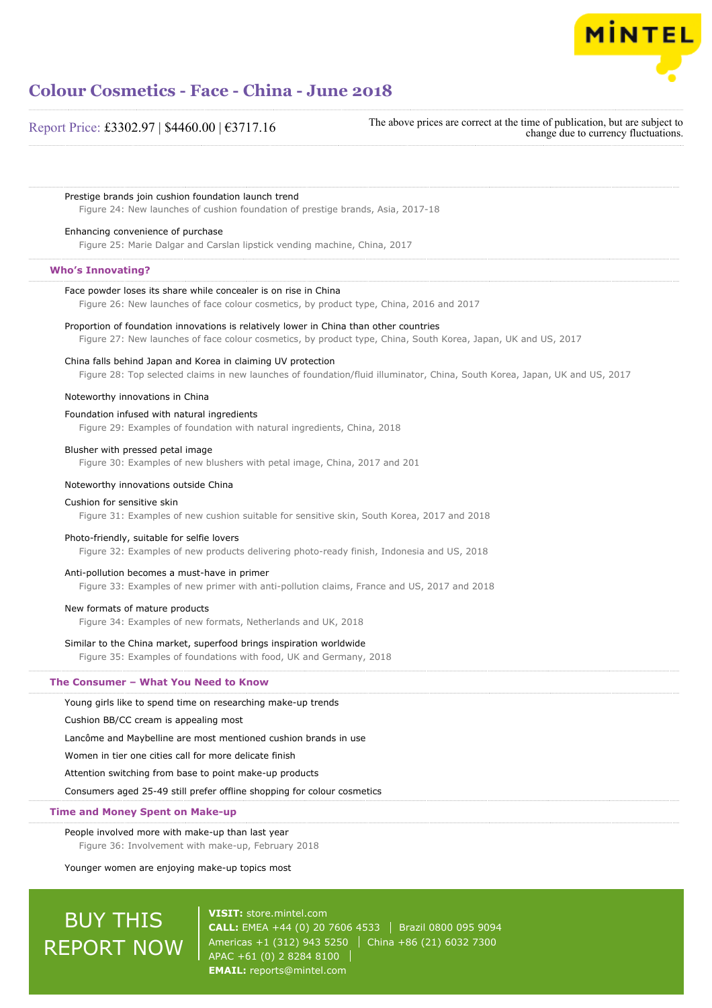

### Report Price: £3302.97 | \$4460.00 | €3717.16

The above prices are correct at the time of publication, but are subject to change due to currency fluctuations.

Prestige brands join cushion foundation launch trend

Figure 24: New launches of cushion foundation of prestige brands, Asia, 2017-18

#### Enhancing convenience of purchase

Figure 25: Marie Dalgar and Carslan lipstick vending machine, China, 2017

#### **Who's Innovating?**

#### Face powder loses its share while concealer is on rise in China

Figure 26: New launches of face colour cosmetics, by product type, China, 2016 and 2017

## Proportion of foundation innovations is relatively lower in China than other countries Figure 27: New launches of face colour cosmetics, by product type, China, South Korea, Japan, UK and US, 2017

#### China falls behind Japan and Korea in claiming UV protection

Figure 28: Top selected claims in new launches of foundation/fluid illuminator, China, South Korea, Japan, UK and US, 2017

#### Noteworthy innovations in China

#### Foundation infused with natural ingredients

Figure 29: Examples of foundation with natural ingredients, China, 2018

#### Blusher with pressed petal image

Figure 30: Examples of new blushers with petal image, China, 2017 and 201

#### Noteworthy innovations outside China

#### Cushion for sensitive skin

Figure 31: Examples of new cushion suitable for sensitive skin, South Korea, 2017 and 2018

#### Photo-friendly, suitable for selfie lovers

Figure 32: Examples of new products delivering photo-ready finish, Indonesia and US, 2018

#### Anti-pollution becomes a must-have in primer

Figure 33: Examples of new primer with anti-pollution claims, France and US, 2017 and 2018

#### New formats of mature products

Figure 34: Examples of new formats, Netherlands and UK, 2018

#### Similar to the China market, superfood brings inspiration worldwide

Figure 35: Examples of foundations with food, UK and Germany, 2018

#### **The Consumer – What You Need to Know**

Young girls like to spend time on researching make-up trends

Cushion BB/CC cream is appealing most

Lancôme and Maybelline are most mentioned cushion brands in use

Women in tier one cities call for more delicate finish

Attention switching from base to point make-up products

Consumers aged 25-49 still prefer offline shopping for colour cosmetics

#### **Time and Money Spent on Make-up**

People involved more with make-up than last year

Figure 36: Involvement with make-up, February 2018

Younger women are enjoying make-up topics most

# BUY THIS REPORT NOW

**VISIT:** [store.mintel.com](http://reports.mintel.com//display/store/861195/) **CALL:** EMEA +44 (0) 20 7606 4533 Brazil 0800 095 9094 Americas +1 (312) 943 5250 | China +86 (21) 6032 7300 APAC +61 (0) 2 8284 8100 **EMAIL:** [reports@mintel.com](mailto:reports@mintel.com)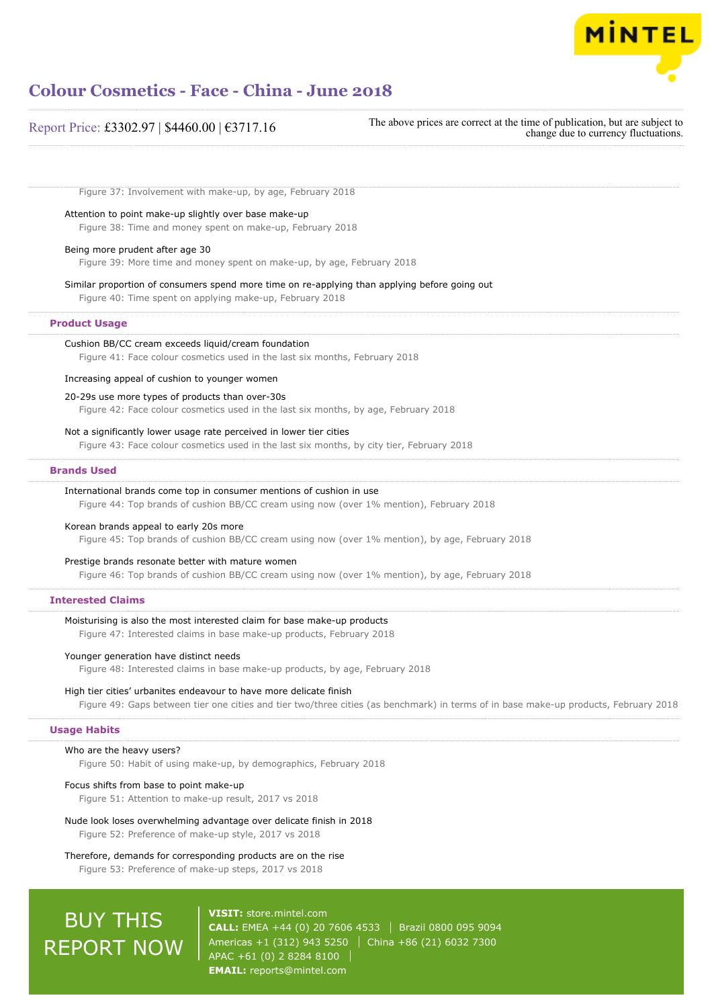

| Report Price: £3302.97   \$4460.00   €3717.16 |  |  |  |  |
|-----------------------------------------------|--|--|--|--|
|-----------------------------------------------|--|--|--|--|

The above prices are correct at the time of publication, but are subject to change due to currency fluctuations.

Figure 37: Involvement with make-up, by age, February 2018

Attention to point make-up slightly over base make-up

Figure 38: Time and money spent on make-up, February 2018

#### Being more prudent after age 30

Figure 39: More time and money spent on make-up, by age, February 2018

Similar proportion of consumers spend more time on re-applying than applying before going out

Figure 40: Time spent on applying make-up, February 2018

#### **Product Usage**

Cushion BB/CC cream exceeds liquid/cream foundation Figure 41: Face colour cosmetics used in the last six months, February 2018

#### Increasing appeal of cushion to younger women

#### 20-29s use more types of products than over-30s

Figure 42: Face colour cosmetics used in the last six months, by age, February 2018

#### Not a significantly lower usage rate perceived in lower tier cities

Figure 43: Face colour cosmetics used in the last six months, by city tier, February 2018

#### **Brands Used**

#### International brands come top in consumer mentions of cushion in use

Figure 44: Top brands of cushion BB/CC cream using now (over 1% mention), February 2018

#### Korean brands appeal to early 20s more

Figure 45: Top brands of cushion BB/CC cream using now (over 1% mention), by age, February 2018

#### Prestige brands resonate better with mature women

Figure 46: Top brands of cushion BB/CC cream using now (over 1% mention), by age, February 2018

#### **Interested Claims**

### Moisturising is also the most interested claim for base make-up products

Figure 47: Interested claims in base make-up products, February 2018

#### Younger generation have distinct needs

Figure 48: Interested claims in base make-up products, by age, February 2018

#### High tier cities' urbanites endeavour to have more delicate finish

Figure 49: Gaps between tier one cities and tier two/three cities (as benchmark) in terms of in base make-up products, February 2018

### **Usage Habits**

#### Who are the heavy users?

Figure 50: Habit of using make-up, by demographics, February 2018

#### Focus shifts from base to point make-up

Figure 51: Attention to make-up result, 2017 vs 2018

#### Nude look loses overwhelming advantage over delicate finish in 2018

Figure 52: Preference of make-up style, 2017 vs 2018

Therefore, demands for corresponding products are on the rise

Figure 53: Preference of make-up steps, 2017 vs 2018

# BUY THIS REPORT NOW

**VISIT:** [store.mintel.com](http://reports.mintel.com//display/store/861195/) **CALL:** EMEA +44 (0) 20 7606 4533 | Brazil 0800 095 9094 Americas +1 (312) 943 5250 | China +86 (21) 6032 7300 APAC +61 (0) 2 8284 8100 **EMAIL:** [reports@mintel.com](mailto:reports@mintel.com)